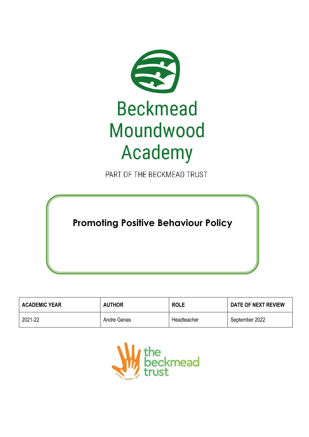

PART OF THE BECKMEAD TRUST

**Promoting Positive Behaviour Policy**

| <b>ACADEMIC YEAR</b> | <b>AUTHOR</b> | <b>ROLE</b> | DATE OF NEXT REVIEW |
|----------------------|---------------|-------------|---------------------|
| 2021-22              | Andre Genas   | Headteacher | September 2022      |

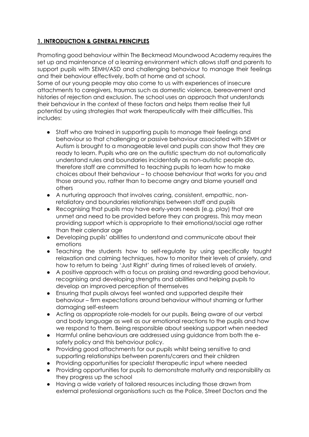# **1. INTRODUCTION & GENERAL PRINCIPLES**

Promoting good behaviour within The Beckmead Moundwood Academy requires the set up and maintenance of a learning environment which allows staff and parents to support pupils with SEMH/ASD and challenging behaviour to manage their feelings and their behaviour effectively, both at home and at school.

Some of our young people may also come to us with experiences of insecure attachments to caregivers, traumas such as domestic violence, bereavement and histories of rejection and exclusion. The school uses an approach that understands their behaviour in the context of these factors and helps them realise their full potential by using strategies that work therapeutically with their difficulties. This includes:

- Staff who are trained in supporting pupils to manage their feelings and behaviour so that challenging or passive behaviour associated with SEMH or Autism is brought to a manageable level and pupils can show that they are ready to learn. Pupils who are on the autistic spectrum do not automatically understand rules and boundaries incidentally as non-autistic people do, therefore staff are committed to teaching pupils to learn how to make choices about their behaviour – to choose behaviour that works for you and those around you, rather than to become angry and blame yourself and others
- A nurturing approach that involves caring, consistent, empathic, nonretaliatory and boundaries relationships between staff and pupils
- Recognising that pupils may have early-years needs (e.g. play) that are unmet and need to be provided before they can progress. This may mean providing support which is appropriate to their emotional/social age rather than their calendar age
- Developing pupils' abilities to understand and communicate about their emotions
- Teaching the students how to self-regulate by using specifically taught relaxation and calming techniques, how to monitor their levels of anxiety, and how to return to being 'Just Right' during times of raised levels of anxiety.
- A positive approach with a focus on praising and rewarding good behaviour, recognising and developing strengths and abilities and helping pupils to develop an improved perception of themselves
- Ensuring that pupils always feel wanted and supported despite their behaviour – firm expectations around behaviour without shaming or further damaging self-esteem
- Acting as appropriate role-models for our pupils. Being aware of our verbal and body language as well as our emotional reactions to the pupils and how we respond to them. Being responsible about seeking support when needed
- Harmful online behaviours are addressed using guidance from both the esafety policy and this behaviour policy.
- Providing good attachments for our pupils whilst being sensitive to and supporting relationships between parents/carers and their children
- Providing opportunities for specialist therapeutic input where needed
- Providing opportunities for pupils to demonstrate maturity and responsibility as they progress up the school
- Having a wide variety of tailored resources including those drawn from external professional organisations such as the Police, Street Doctors and the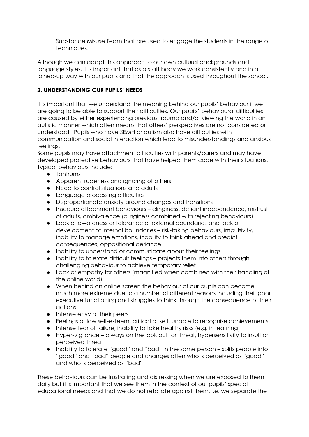Substance Misuse Team that are used to engage the students in the range of techniques.

Although we can adapt this approach to our own cultural backgrounds and language styles, it is important that as a staff body we work consistently and in a joined-up way with our pupils and that the approach is used throughout the school.

## **2. UNDERSTANDING OUR PUPILS' NEEDS**

It is important that we understand the meaning behind our pupils' behaviour if we are going to be able to support their difficulties. Our pupils' behavioural difficulties are caused by either experiencing previous trauma and/or viewing the world in an autistic manner which often means that others' perspectives are not considered or understood. Pupils who have SEMH or autism also have difficulties with communication and social interaction which lead to misunderstandings and anxious feelings.

Some pupils may have attachment difficulties with parents/carers and may have developed protective behaviours that have helped them cope with their situations. Typical behaviours include:

- Tantrums
- Apparent rudeness and ignoring of others
- Need to control situations and adults
- Language processing difficulties
- Disproportionate anxiety around changes and transitions
- Insecure attachment behaviours clinginess, defiant independence, mistrust of adults, ambivalence (clinginess combined with rejecting behaviours)
- Lack of awareness or tolerance of external boundaries and lack of development of internal boundaries – risk-taking behaviours, impulsivity, inability to manage emotions, inability to think ahead and predict consequences, oppositional defiance
- Inability to understand or communicate about their feelings
- Inability to tolerate difficult feelings projects them into others through challenging behaviour to achieve temporary relief
- Lack of empathy for others (magnified when combined with their handling of the online world).
- When behind an online screen the behaviour of our pupils can become much more extreme due to a number of different reasons including their poor executive functioning and struggles to think through the consequence of their actions.
- Intense envy of their peers.
- Feelings of low self-esteem, critical of self, unable to recognise achievements
- Intense fear of failure, inability to take healthy risks (e.g. in learning)
- Hyper-vigilance always on the look out for threat, hypersensitivity to insult or perceived threat
- Inability to tolerate "good" and "bad" in the same person splits people into "good" and "bad" people and changes often who is perceived as "good" and who is perceived as "bad"

These behaviours can be frustrating and distressing when we are exposed to them daily but it is important that we see them in the context of our pupils' special educational needs and that we do not retaliate against them, i.e. we separate the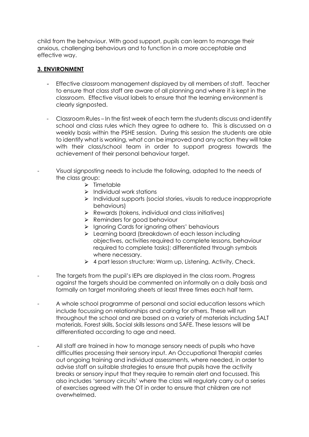child from the behaviour. With good support, pupils can learn to manage their anxious, challenging behaviours and to function in a more acceptable and effective way.

#### **3. ENVIRONMENT**

- Effective classroom management displayed by all members of staff. Teacher to ensure that class staff are aware of all planning and where it is kept in the classroom. Effective visual labels to ensure that the learning environment is clearly signposted.
- Classroom Rules In the first week of each term the students discuss and identify school and class rules which they agree to adhere to. This is discussed on a weekly basis within the PSHE session. During this session the students are able to identify what is working, what can be improved and any action they will take with their class/school team in order to support progress towards the achievement of their personal behaviour target.
- Visual signposting needs to include the following, adapted to the needs of the class group:
	- $\triangleright$  Timetable
	- $\triangleright$  Individual work stations
	- ⮚ Individual supports (social stories, visuals to reduce inappropriate behaviours)
	- $\triangleright$  Rewards (tokens, individual and class initiatives)
	- **▶ Reminders for good behaviour**
	- > Ignoring Cards for ignoring others' behaviours
	- ⮚ Learning board (breakdown of each lesson including objectives, activities required to complete lessons, behaviour required to complete tasks); differentiated through symbols where necessary.
	- $\triangleright$  4 part lesson structure: Warm up, Listening, Activity, Check.
- The targets from the pupil's IEPs are displayed in the class room. Progress against the targets should be commented on informally on a daily basis and formally on target monitoring sheets at least three times each half term.
- A whole school programme of personal and social education lessons which include focussing on relationships and caring for others. These will run throughout the school and are based on a variety of materials including SALT materials, Forest skills, Social skills lessons and SAFE. These lessons will be differentiated according to age and need.
- All staff are trained in how to manage sensory needs of pupils who have difficulties processing their sensory input. An Occupational Therapist carries out ongoing training and individual assessments, where needed, in order to advise staff on suitable strategies to ensure that pupils have the activity breaks or sensory input that they require to remain alert and focussed. This also includes 'sensory circuits' where the class will regularly carry out a series of exercises agreed with the OT in order to ensure that children are not overwhelmed.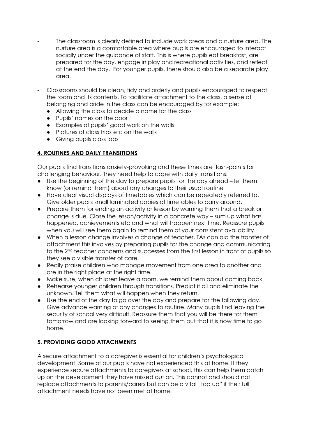- The classroom is clearly defined to include work areas and a nurture area. The nurture area is a comfortable area where pupils are encouraged to interact socially under the guidance of staff. This is where pupils eat breakfast, are prepared for the day, engage in play and recreational activities, and reflect at the end the day. For younger pupils, there should also be a separate play area.
- Classrooms should be clean, tidy and orderly and pupils encouraged to respect the room and its contents. To facilitate attachment to the class, a sense of belonging and pride in the class can be encouraged by for example:
	- Allowing the class to decide a name for the class
	- Pupils' names on the door
	- Examples of pupils' good work on the walls
	- Pictures of class trips etc on the walls
	- Giving pupils class jobs

# **4. ROUTINES AND DAILY TRANSITIONS**

Our pupils find transitions anxiety-provoking and these times are flash-points for challenging behaviour. They need help to cope with daily transitions:

- Use the beginning of the day to prepare pupils for the day ahead let them know (or remind them) about any changes to their usual routine
- Have clear visual displays of timetables which can be repeatedly referred to. Give older pupils small laminated copies of timetables to carry around.
- Prepare them for ending an activity or lesson by warning them that a break or change is due. Close the lesson/activity in a concrete way – sum up what has happened, achievements etc and what will happen next time. Reassure pupils when you will see them again to remind them of your consistent availability.
- When a lesson change involves a change of teacher, TAs can aid the transfer of attachment this involves by preparing pupils for the change and communicating to the 2nd teacher concerns and successes from the first lesson in front of pupils so they see a visible transfer of care.
- Really praise children who manage movement from one area to another and are in the right place at the right time.
- Make sure, when children leave a room, we remind them about coming back.
- Rehearse younger children through transitions. Predict it all and eliminate the unknown. Tell them what will happen when they return.
- Use the end of the day to go over the day and prepare for the following day. Give advance warning of any changes to routine. Many pupils find leaving the security of school very difficult. Reassure them that you will be there for them tomorrow and are looking forward to seeing them but that it is now time to go home.

# **5. PROVIDING GOOD ATTACHMENTS**

A secure attachment to a caregiver is essential for children's psychological development. Some of our pupils have not experienced this at home. If they experience secure attachments to caregivers at school, this can help them catch up on the development they have missed out on. This cannot and should not replace attachments to parents/carers but can be a vital "top up" if their full attachment needs have not been met at home.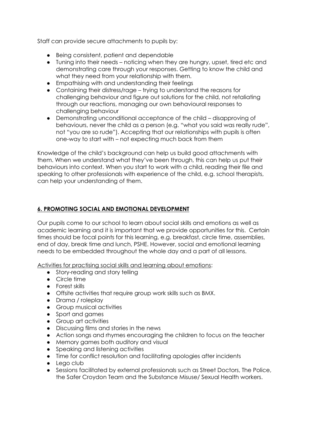Staff can provide secure attachments to pupils by:

- Being consistent, patient and dependable
- Tuning into their needs noticing when they are hungry, upset, tired etc and demonstrating care through your responses. Getting to know the child and what they need from your relationship with them.
- Empathising with and understanding their feelings
- Containing their distress/rage trying to understand the reasons for challenging behaviour and figure out solutions for the child, not retaliating through our reactions, managing our own behavioural responses to challenging behaviour
- Demonstrating unconditional acceptance of the child disapproving of behaviours, never the child as a person (e.g. "what you said was really rude", not "you are so rude"). Accepting that our relationships with pupils is often one-way to start with – not expecting much back from them

Knowledge of the child's background can help us build good attachments with them. When we understand what they've been through, this can help us put their behaviours into context. When you start to work with a child, reading their file and speaking to other professionals with experience of the child, e.g. school therapists, can help your understanding of them.

# **6. PROMOTING SOCIAL AND EMOTIONAL DEVELOPMENT**

Our pupils come to our school to learn about social skills and emotions as well as academic learning and it is important that we provide opportunities for this. Certain times should be focal points for this learning, e.g. breakfast, circle time, assemblies, end of day, break time and lunch, PSHE. However, social and emotional learning needs to be embedded throughout the whole day and a part of all lessons.

Activities for practising social skills and learning about emotions:

- Story-reading and story telling
- Circle time
- Forest skills
- Offsite activities that require group work skills such as BMX.
- Drama / roleplay
- Group musical activities
- Sport and games
- Group art activities
- Discussing films and stories in the news
- Action songs and rhymes encouraging the children to focus on the teacher
- Memory games both auditory and visual
- Speaking and listening activities
- Time for conflict resolution and facilitating apologies after incidents
- Lego club
- Sessions facilitated by external professionals such as Street Doctors, The Police, the Safer Croydon Team and the Substance Misuse/ Sexual Health workers.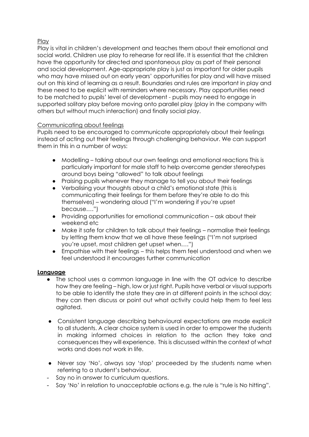# **Play**

Play is vital in children's development and teaches them about their emotional and social world. Children use play to rehearse for real life. It is essential that the children have the opportunity for directed and spontaneous play as part of their personal and social development. Age-appropriate play is just as important for older pupils who may have missed out on early years' opportunities for play and will have missed out on this kind of learning as a result. Boundaries and rules are important in play and these need to be explicit with reminders where necessary. Play opportunities need to be matched to pupils' level of development - pupils may need to engage in supported solitary play before moving onto parallel play (play in the company with others but without much interaction) and finally social play.

#### Communicating about feelings

Pupils need to be encouraged to communicate appropriately about their feelings instead of acting out their feelings through challenging behaviour. We can support them in this in a number of ways:

- Modelling talking about our own feelings and emotional reactions This is particularly important for male staff to help overcome gender stereotypes around boys being "allowed" to talk about feelings
- Praising pupils whenever they manage to tell you about their feelings
- Verbalising your thoughts about a child's emotional state (this is communicating their feelings for them before they're able to do this themselves) – wondering aloud ("I'm wondering if you're upset because….")
- Providing opportunities for emotional communication ask about their weekend etc
- Make it safe for children to talk about their feelings normalise their feelings by letting them know that we all have these feelings ("I'm not surprised you're upset, most children get upset when….")
- Empathise with their feelings this helps them feel understood and when we feel understood it encourages further communication

#### **Language**

- The school uses a common language in line with the OT advice to describe how they are feeling – high, low or just right. Pupils have verbal or visual supports to be able to identify the state they are in at different points in the school day; they can then discuss or point out what activity could help them to feel less agitated.
- Consistent language describing behavioural expectations are made explicit to all students. A clear choice system is used in order to empower the students in making informed choices in relation to the action they take and consequences they will experience. This is discussed within the context of what works and does not work in life.
- Never say 'No', always say 'stop' proceeded by the students name when referring to a student's behaviour.
- Say no in answer to curriculum questions.
- Say 'No' in relation to unacceptable actions e.g. the rule is "rule is No hitting".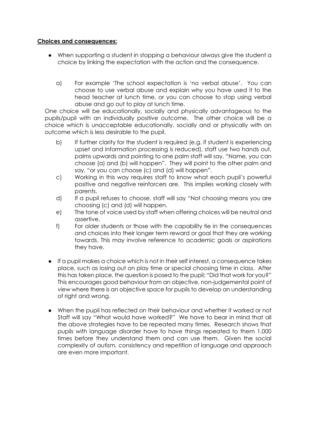#### **Choices and consequences:**

- When supporting a student in stopping a behaviour always give the student a choice by linking the expectation with the action and the consequence.
	- a) For example 'The school expectation is 'no verbal abuse'. You can choose to use verbal abuse and explain why you have used it to the head teacher at lunch time, or you can choose to stop using verbal abuse and go out to play at lunch time.

One choice will be educationally, socially and physically advantageous to the pupils/pupil with an individually positive outcome. The other choice will be a choice which is unacceptable educationally, socially and or physically with an outcome which is less desirable to the pupil.

- b) If further clarity for the student is required (e.g. if student is experiencing upset and information processing is reduced), staff use two hands out, palms upwards and pointing to one palm staff will say, "Name, you can choose (a) and (b) will happen". They will point to the other palm and say, "or you can choose (c) and (d) will happen".
- c) Working in this way requires staff to know what each pupil's powerful positive and negative reinforcers are. This implies working closely with parents.
- d) If a pupil refuses to choose, staff will say "Not choosing means you are choosing (c) and (d) will happen.
- e) The tone of voice used by staff when offering choices will be neutral and assertive.
- f) For older students or those with the capability tie in the consequences and choices into their longer term reward or goal that they are working towards. This may involve reference to academic goals or aspirations they have.
- If a pupil makes a choice which is not in their self interest, a consequence takes place, such as losing out on play time or special choosing time in class. After this has taken place, the question is posed to the pupil; "Did that work for you?" This encourages good behaviour from an objective, non-judgemental point of view where there is an objective space for pupils to develop an understanding of right and wrong.
- When the pupil has reflected on their behaviour and whether it worked or not Staff will say "What would have worked?" We have to bear in mind that all the above strategies have to be repeated many times. Research shows that pupils with language disorder have to have things repeated to them 1,000 times before they understand them and can use them. Given the social complexity of autism, consistency and repetition of language and approach are even more important.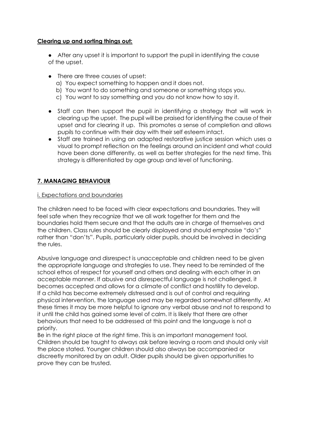#### **Clearing up and sorting things out:**

- After any upset it is important to support the pupil in identifying the cause of the upset.
- There are three causes of upset:
	- a) You expect something to happen and it does not.
	- b) You want to do something and someone or something stops you.
	- c) You want to say something and you do not know how to say it.
- Staff can then support the pupil in identifying a strategy that will work in clearing up the upset. The pupil will be praised for identifying the cause of their upset and for clearing it up. This promotes a sense of completion and allows pupils to continue with their day with their self esteem intact.
- Staff are trained in using an adapted restorative justice session which uses a visual to prompt reflection on the feelings around an incident and what could have been done differently, as well as better strategies for the next time. This strategy is differentiated by age group and level of functioning.

## **7. MANAGING BEHAVIOUR**

#### i. Expectations and boundaries

The children need to be faced with clear expectations and boundaries. They will feel safe when they recognize that we all work together for them and the boundaries hold them secure and that the adults are in charge of themselves and the children. Class rules should be clearly displayed and should emphasise "do's" rather than "don'ts". Pupils, particularly older pupils, should be involved in deciding the rules.

Abusive language and disrespect is unacceptable and children need to be given the appropriate language and strategies to use. They need to be reminded of the school ethos of respect for yourself and others and dealing with each other in an acceptable manner. If abusive and disrespectful language is not challenged, it becomes accepted and allows for a climate of conflict and hostility to develop. If a child has become extremely distressed and is out of control and requiring physical intervention, the language used may be regarded somewhat differently. At these times it may be more helpful to ignore any verbal abuse and not to respond to it until the child has gained some level of calm. It is likely that there are other behaviours that need to be addressed at this point and the language is not a priority.

Be in the right place at the right time. This is an important management tool. Children should be taught to always ask before leaving a room and should only visit the place stated. Younger children should also always be accompanied or discreetly monitored by an adult. Older pupils should be given opportunities to prove they can be trusted.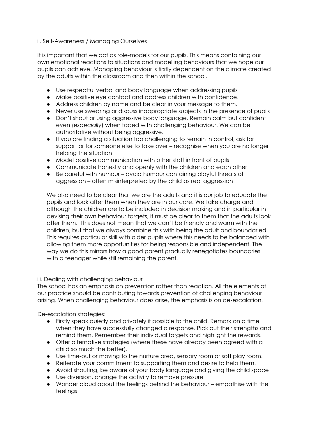## ii. Self-Awareness / Managing Ourselves

It is important that we act as role-models for our pupils. This means containing our own emotional reactions to situations and modelling behaviours that we hope our pupils can achieve. Managing behaviour is firstly dependent on the climate created by the adults within the classroom and then within the school.

- Use respectful verbal and body language when addressing pupils
- Make positive eye contact and address children with confidence.
- Address children by name and be clear in your message to them.
- Never use swearing or discuss inappropriate subjects in the presence of pupils
- Don't shout or using aggressive body language. Remain calm but confident even (*especially*) when faced with challenging behaviour. We can be authoritative without being aggressive.
- If you are finding a situation too challenging to remain in control, ask for support or for someone else to take over – recognise when you are no longer helping the situation
- Model positive communication with other staff in front of pupils
- Communicate honestly and openly with the children and each other
- Be careful with humour avoid humour containing playful threats of aggression – often misinterpreted by the child as real aggression

We also need to be clear that we are the adults and it is our job to educate the pupils and look after them when they are in our care. We take charge and although the children are to be included in decision making and in particular in devising their own behaviour targets, it must be clear to them that the adults look after them. This does not mean that we can't be friendly and warm with the children, but that we always combine this with being the adult and boundaried. This requires particular skill with older pupils where this needs to be balanced with allowing them more opportunities for being responsible and independent. The way we do this mirrors how a good parent gradually renegotiates boundaries with a teenager while still remaining the parent.

# iii. Dealing with challenging behaviour

The school has an emphasis on prevention rather than reaction. All the elements of our practice should be contributing towards prevention of challenging behaviour arising. When challenging behaviour does arise, the emphasis is on de-escalation.

De-escalation strategies:

- Firstly speak quietly and privately if possible to the child. Remark on a time when they have successfully changed a response. Pick out their strengths and remind them. Remember their individual targets and highlight the rewards.
- Offer alternative strategies (where these have already been agreed with a child so much the better).
- Use time-out or moving to the nurture area, sensory room or soft play room.
- Reiterate your commitment to supporting them and desire to help them.
- Avoid shouting, be aware of your body language and giving the child space
- Use diversion, change the activity to remove pressure
- Wonder aloud about the feelings behind the behaviour empathise with the feelings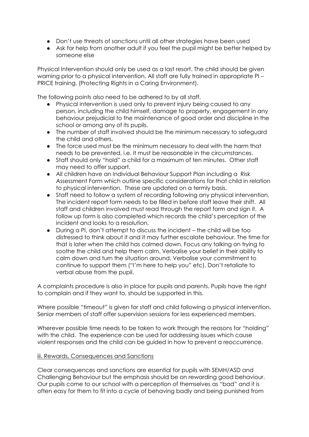- Don't use threats of sanctions until all other strategies have been used
- Ask for help from another adult if you feel the pupil might be better helped by someone else

Physical Intervention should only be used as a last resort. The child should be given warning prior to a physical intervention. All staff are fully trained in appropriate PI – PRICE training. (Protecting Rights in a Caring Environment).

The following points also need to be adhered to by all staff.

- Physical intervention is used only to prevent injury being caused to any person, including the child himself, damage to property, engagement in any behaviour prejudicial to the maintenance of good order and discipline in the school or among any of its pupils.
- The number of staff involved should be the minimum necessary to safeguard the child and others.
- The force used must be the minimum necessary to deal with the harm that needs to be prevented, i.e. it must be reasonable in the circumstances.
- Staff should only "hold" a child for a maximum of ten minutes. Other staff may need to offer support.
- All children have an Individual Behaviour Support Plan including a Risk Assessment Form which outline specific considerations for that child in relation to physical intervention. These are updated on a termly basis.
- Staff need to follow a system of recording following any physical intervention. The incident report form needs to be filled in before staff leave their shift. All staff and children involved must read through the report form and sign it. A follow up form is also completed which records the child's perception of the incident and looks to a resolution.
- During a PI, don't attempt to discuss the incident the child will be too distressed to think about it and it may further escalate behaviour. The time for that is later when the child has calmed down. Focus any talking on trying to soothe the child and help them calm. Verbalise your belief in their ability to calm down and turn the situation around. Verbalise your commitment to continue to support them ("I'm here to help you" etc). Don't retaliate to verbal abuse from the pupil.

A complaints procedure is also in place for pupils and parents. Pupils have the right to complain and if they want to, should be supported in this.

Where possible "timeout" is given for staff and child following a physical intervention. Senior members of staff offer supervision sessions for less experienced members.

Wherever possible time needs to be taken to work through the reasons for "holding" with the child. The experience can be used for addressing issues which cause violent responses and the child can be guided in how to prevent a reoccurrence.

#### iii. Rewards, Consequences and Sanctions

Clear consequences and sanctions are essential for pupils with SEMH/ASD and Challenging Behaviour but the emphasis should be on rewarding good behaviour. Our pupils come to our school with a perception of themselves as "bad" and it is often easy for them to fit into a cycle of behaving badly and being punished from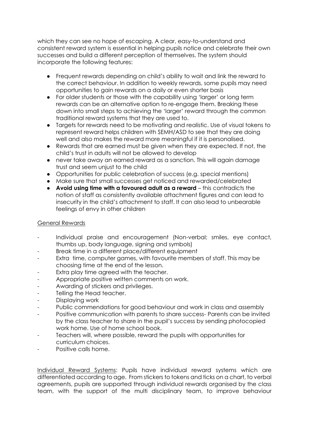which they can see no hope of escaping. A clear, easy-to-understand and consistent reward system is essential in helping pupils notice and celebrate their own successes and build a different perception of themselves. The system should incorporate the following features:

- Frequent rewards depending on child's ability to wait and link the reward to the correct behaviour. In addition to weekly rewards, some pupils may need opportunities to gain rewards on a daily or even shorter basis
- For older students or those with the capability using 'larger' or long term rewards can be an alternative option to re-engage them. Breaking these down into small steps to achieving the 'larger' reward through the common traditional reward systems that they are used to.
- Targets for rewards need to be motivating and realistic. Use of visual tokens to represent reward helps children with SEMH/ASD to see that they are doing well and also makes the reward more meaningful if it is personalised.
- Rewards that are earned must be given when they are expected. If not, the child's trust in adults will not be allowed to develop
- never take away an earned reward as a sanction. This will again damage trust and seem unjust to the child
- Opportunities for public celebration of success (e.g. special mentions)
- Make sure that small successes get noticed and rewarded/celebrated
- **Avoid using time with a favoured adult as a reward** this contradicts the notion of staff as consistently available attachment figures and can lead to insecurity in the child's attachment to staff. It can also lead to unbearable feelings of envy in other children

#### General Rewards

- Individual praise and encouragement (Non-verbal; smiles, eye contact, thumbs up, body language, signing and symbols)
- Break time in a different place/different equipment
- Extra time, computer games, with favourite members of staff. This may be choosing time at the end of the lesson.
- Extra play time agreed with the teacher.
- Appropriate positive written comments on work.
- Awarding of stickers and privileges.
- Telling the Head teacher.
- Displaying work
- Public commendations for good behaviour and work in class and assembly
- Positive communication with parents to share success- Parents can be invited by the class teacher to share in the pupil's success by sending photocopied work home. Use of home school book.
- Teachers will, where possible, reward the pupils with opportunities for curriculum choices.
- Positive calls home.

Individual Reward Systems: Pupils have individual reward systems which are differentiated according to age. From stickers to tokens and ticks on a chart, to verbal agreements, pupils are supported through individual rewards organised by the class team, with the support of the multi disciplinary team, to improve behaviour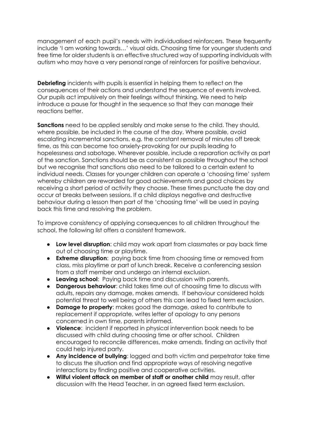management of each pupil's needs with individualised reinforcers. These frequently include 'I am working towards…' visual aids. Choosing time for younger students and free time for older students is an effective structured way of supporting individuals with autism who may have a very personal range of reinforcers for positive behaviour.

**Debriefing** incidents with pupils is essential in helping them to reflect on the consequences of their actions and understand the sequence of events involved. Our pupils act impulsively on their feelings without thinking. We need to help introduce a pause for thought in the sequence so that they can manage their reactions better.

**Sanctions** need to be applied sensibly and make sense to the child. They should, where possible, be included in the course of the day. Where possible, avoid escalating incremental sanctions, e.g. the constant removal of minutes off break time, as this can become too anxiety-provoking for our pupils leading to hopelessness and sabotage. Wherever possible, include a reparation activity as part of the sanction. Sanctions should be as consistent as possible throughout the school but we recognise that sanctions also need to be tailored to a certain extent to individual needs. Classes for younger children can operate a 'choosing time' system whereby children are rewarded for good achievements and good choices by receiving a short period of activity they choose. These times punctuate the day and occur at breaks between sessions. If a child displays negative and destructive behaviour during a lesson then part of the 'choosing time' will be used in paying back this time and resolving the problem.

To improve consistency of applying consequences to all children throughout the school, the following list offers a consistent framework.

- **Low level disruption**: child may work apart from classmates or pay back time out of choosing time or playtime.
- **Extreme disruption**: paying back time from choosing time or removed from class, miss playtime or part of lunch break. Receive a conferencing session from a staff member and undergo an internal exclusion.
- **Leaving school**: Paying back time and discussion with parents.
- **Dangerous behaviour**: child takes time out of choosing time to discuss with adults, repairs any damage, makes amends. If behaviour considered holds potential threat to well being of others this can lead to fixed term exclusion.
- **Damage to property:** makes good the damage, asked to contribute to replacement if appropriate, writes letter of apology to any persons concerned in own time, parents informed.
- **Violence**: incident if reported in physical intervention book needs to be discussed with child during choosing time or after school. Children encouraged to reconcile differences, make amends, finding an activity that could help injured party.
- **Any incidence of bullying**: logged and both victim and perpetrator take time to discuss the situation and find appropriate ways of resolving negative interactions by finding positive and cooperative activities.
- **Wilful violent attack on member of staff or another child** may result, after discussion with the Head Teacher, in an agreed fixed term exclusion.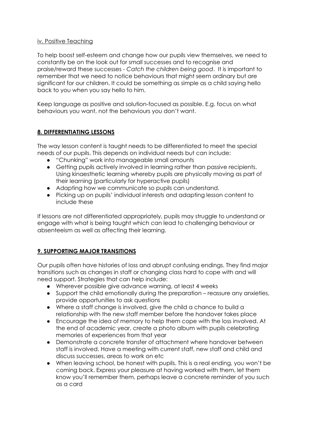#### iv. Positive Teaching

To help boost self-esteem and change how our pupils view themselves, we need to constantly be on the look out for small successes and to recognise and praise/reward these successes - *Catch the children being good*. It is important to remember that we need to notice behaviours that might seem ordinary but are significant for our children. It could be something as simple as a child saying hello back to you when you say hello to him.

Keep language as positive and solution-focused as possible. E.g. focus on what behaviours you want, not the behaviours you don't want.

# **8. DIFFERENTIATING LESSONS**

The way lesson content is taught needs to be differentiated to meet the special needs of our pupils. This depends on individual needs but can include:

- "Chunking" work into manageable small amounts
- Getting pupils actively involved in learning rather than passive recipients. Using kinaesthetic learning whereby pupils are physically moving as part of their learning (particularly for hyperactive pupils)
- Adapting how we communicate so pupils can understand.
- Picking up on pupils' individual interests and adapting lesson content to include these

If lessons are not differentiated appropriately, pupils may struggle to understand or engage with what is being taught which can lead to challenging behaviour or absenteeism as well as affecting their learning.

# **9. SUPPORTING MAJOR TRANSITIONS**

Our pupils often have histories of loss and abrupt confusing endings. They find major transitions such as changes in staff or changing class hard to cope with and will need support. Strategies that can help include:

- Wherever possible give advance warning, at least 4 weeks
- Support the child emotionally during the preparation reassure any anxieties, provide opportunities to ask questions
- Where a staff change is involved, give the child a chance to build a relationship with the new staff member before the handover takes place
- Encourage the idea of memory to help them cope with the loss involved. At the end of academic year, create a photo album with pupils celebrating memories of experiences from that year
- Demonstrate a concrete transfer of attachment where handover between staff is involved. Have a meeting with current staff, new staff and child and discuss successes, areas to work on etc
- When leaving school, be honest with pupils. This is a real ending, you won't be coming back. Express your pleasure at having worked with them, let them know you'll remember them, perhaps leave a concrete reminder of you such as a card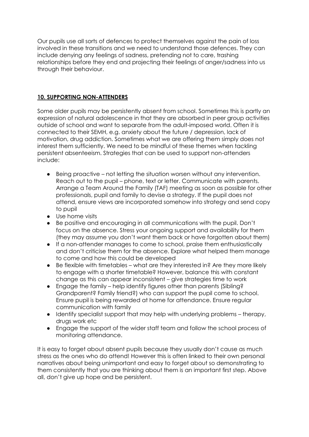Our pupils use all sorts of defences to protect themselves against the pain of loss involved in these transitions and we need to understand those defences. They can include denying any feelings of sadness, pretending not to care, trashing relationships before they end and projecting their feelings of anger/sadness into us through their behaviour.

## **10. SUPPORTING NON-ATTENDERS**

Some older pupils may be persistently absent from school. Sometimes this is partly an expression of natural adolescence in that they are absorbed in peer group activities outside of school and want to separate from the adult-imposed world. Often it is connected to their SEMH, e.g. anxiety about the future / depression, lack of motivation, drug addiction. Sometimes what we are offering them simply does not interest them sufficiently. We need to be mindful of these themes when tackling persistent absenteeism. Strategies that can be used to support non-attenders include:

- Being proactive not letting the situation worsen without any intervention. Reach out to the pupil – phone, text or letter. Communicate with parents. Arrange a Team Around the Family (TAF) meeting as soon as possible for other professionals, pupil and family to devise a strategy. If the pupil does not attend, ensure views are incorporated somehow into strategy and send copy to pupil
- Use home visits
- Be positive and encouraging in all communications with the pupil. Don't focus on the absence. Stress your ongoing support and availability for them (they may assume you don't want them back or have forgotten about them)
- If a non-attender manages to come to school, praise them enthusiastically and don't criticise them for the absence. Explore what helped them manage to come and how this could be developed
- Be flexible with timetables what are they interested in? Are they more likely to engage with a shorter timetable? However, balance this with constant change as this can appear inconsistent – give strategies time to work
- Engage the family help identify figures other than parents (Sibling? Grandparent? Family friend?) who can support the pupil come to school. Ensure pupil is being rewarded at home for attendance. Ensure regular communication with family
- Identify specialist support that may help with underlying problems therapy, drugs work etc
- Engage the support of the wider staff team and follow the school process of monitoring attendance.

It is easy to forget about absent pupils because they usually don't cause as much stress as the ones who do attend! However this is often linked to their own personal narratives about being unimportant and easy to forget about so demonstrating to them consistently that you are thinking about them is an important first step. Above all, don't give up hope and be persistent.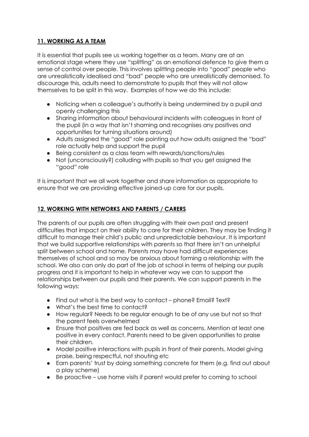# **11. WORKING AS A TEAM**

It is essential that pupils see us working together as a team. Many are at an emotional stage where they use "splitting" as an emotional defence to give them a sense of control over people. This involves splitting people into "good" people who are unrealistically idealised and "bad" people who are unrealistically demonised. To discourage this, adults need to demonstrate to pupils that they will not allow themselves to be split in this way. Examples of how we do this include:

- Noticing when a colleague's authority is being undermined by a pupil and openly challenging this
- Sharing information about behavioural incidents with colleagues in front of the pupil (in a way that isn't shaming and recognises any positives and opportunities for turning situations around)
- Adults assigned the "good" role pointing out how adults assigned the "bad" role actually help and support the pupil
- Being consistent as a class team with rewards/sanctions/rules
- Not (unconsciously?) colluding with pupils so that you get assigned the "good" role

It is important that we all work together and share information as appropriate to ensure that we are providing effective joined-up care for our pupils.

# **12. WORKING WITH NETWORKS AND PARENTS / CARERS**

The parents of our pupils are often struggling with their own past and present difficulties that impact on their ability to care for their children. They may be finding it difficult to manage their child's public and unpredictable behaviour. It is important that we build supportive relationships with parents so that there isn't an unhelpful split between school and home. Parents may have had difficult experiences themselves of school and so may be anxious about forming a relationship with the school. We also can only do part of the job at school in terms of helping our pupils progress and it is important to help in whatever way we can to support the relationships between our pupils and their parents. We can support parents in the following ways:

- Find out what is the best way to contact phone? Email? Text?
- What's the best time to contact?
- How regular? Needs to be regular enough to be of any use but not so that the parent feels overwhelmed
- Ensure that positives are fed back as well as concerns. Mention at least one positive in every contact. Parents need to be given opportunities to praise their children.
- Model positive interactions with pupils in front of their parents. Model giving praise, being respectful, not shouting etc
- Earn parents' trust by doing something concrete for them (e.g. find out about a play scheme)
- Be proactive use home visits if parent would prefer to coming to school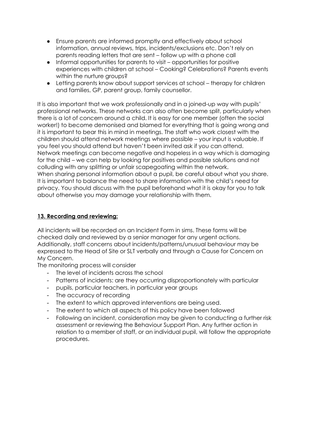- Ensure parents are informed promptly and effectively about school information, annual reviews, trips, incidents/exclusions etc. Don't rely on parents reading letters that are sent – follow up with a phone call
- Informal opportunities for parents to visit opportunities for positive experiences with children at school – Cooking? Celebrations? Parents events within the nurture groups?
- Letting parents know about support services at school therapy for children and families, GP, parent group, family counsellor.

It is also important that we work professionally and in a joined-up way with pupils' professional networks. These networks can also often become split, particularly when there is a lot of concern around a child. It is easy for one member (often the social worker!) to become demonised and blamed for everything that is going wrong and it is important to bear this in mind in meetings. The staff who work closest with the children should attend network meetings where possible – your input is valuable. If you feel you should attend but haven't been invited ask if you can attend. Network meetings can become negative and hopeless in a way which is damaging for the child – we can help by looking for positives and possible solutions and not colluding with any splitting or unfair scapegoating within the network. When sharing personal information about a pupil, be careful about what you share. It is important to balance the need to share information with the child's need for privacy. You should discuss with the pupil beforehand what it is okay for you to talk about otherwise you may damage your relationship with them.

## **13. Recording and reviewing:**

All incidents will be recorded on an Incident Form in sims. These forms will be checked daily and reviewed by a senior manager for any urgent actions. Additionally, staff concerns about incidents/patterns/unusual behaviour may be expressed to the Head of Site or SLT verbally and through a Cause for Concern on My Concern.

The monitoring process will consider

- The level of incidents across the school
- Patterns of incidents: are they occurring disproportionately with particular
- pupils, particular teachers, in particular year groups
- The accuracy of recording
- The extent to which approved interventions are being used.
- The extent to which all aspects of this policy have been followed
- Following an incident, consideration may be given to conducting a further risk assessment or reviewing the Behaviour Support Plan. Any further action in relation to a member of staff, or an individual pupil, will follow the appropriate procedures.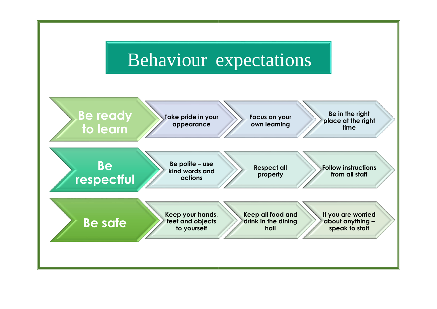# Behaviour expectations